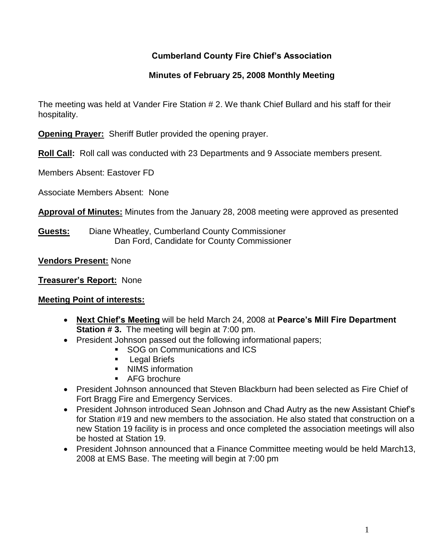# **Cumberland County Fire Chief's Association**

# **Minutes of February 25, 2008 Monthly Meeting**

The meeting was held at Vander Fire Station # 2. We thank Chief Bullard and his staff for their hospitality.

**Opening Prayer:** Sheriff Butler provided the opening prayer.

**Roll Call:** Roll call was conducted with 23 Departments and 9 Associate members present.

Members Absent: Eastover FD

Associate Members Absent: None

**Approval of Minutes:** Minutes from the January 28, 2008 meeting were approved as presented

**Guests:** Diane Wheatley, Cumberland County Commissioner Dan Ford, Candidate for County Commissioner

**Vendors Present:** None

**Treasurer's Report:** None

## **Meeting Point of interests:**

- **Next Chief's Meeting** will be held March 24, 2008 at **Pearce's Mill Fire Department Station #3.** The meeting will begin at 7:00 pm.
- President Johnson passed out the following informational papers;
	- SOG on Communications and ICS
	- **Legal Briefs**
	- NIMS information
	- **AFG brochure**
- President Johnson announced that Steven Blackburn had been selected as Fire Chief of Fort Bragg Fire and Emergency Services.
- President Johnson introduced Sean Johnson and Chad Autry as the new Assistant Chief's for Station #19 and new members to the association. He also stated that construction on a new Station 19 facility is in process and once completed the association meetings will also be hosted at Station 19.
- President Johnson announced that a Finance Committee meeting would be held March13, 2008 at EMS Base. The meeting will begin at 7:00 pm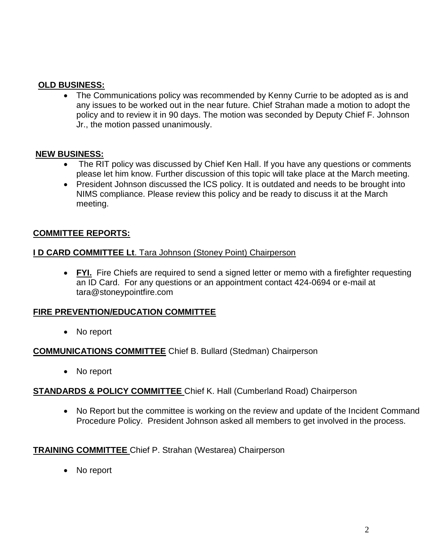## **OLD BUSINESS:**

 The Communications policy was recommended by Kenny Currie to be adopted as is and any issues to be worked out in the near future. Chief Strahan made a motion to adopt the policy and to review it in 90 days. The motion was seconded by Deputy Chief F. Johnson Jr., the motion passed unanimously.

#### **NEW BUSINESS:**

- The RIT policy was discussed by Chief Ken Hall. If you have any questions or comments please let him know. Further discussion of this topic will take place at the March meeting.
- President Johnson discussed the ICS policy. It is outdated and needs to be brought into NIMS compliance. Please review this policy and be ready to discuss it at the March meeting.

### **COMMITTEE REPORTS:**

#### **I D CARD COMMITTEE Lt**. Tara Johnson (Stoney Point) Chairperson

 **FYI.** Fire Chiefs are required to send a signed letter or memo with a firefighter requesting an ID Card. For any questions or an appointment contact 424-0694 or e-mail at [tara@stoneypointfire.com](mailto:tara@stoneypointfire.com)

### **FIRE PREVENTION/EDUCATION COMMITTEE**

No report

### **COMMUNICATIONS COMMITTEE** Chief B. Bullard (Stedman) Chairperson

• No report

### **STANDARDS & POLICY COMMITTEE** Chief K. Hall (Cumberland Road) Chairperson

• No Report but the committee is working on the review and update of the Incident Command Procedure Policy. President Johnson asked all members to get involved in the process.

**TRAINING COMMITTEE** Chief P. Strahan (Westarea) Chairperson

No report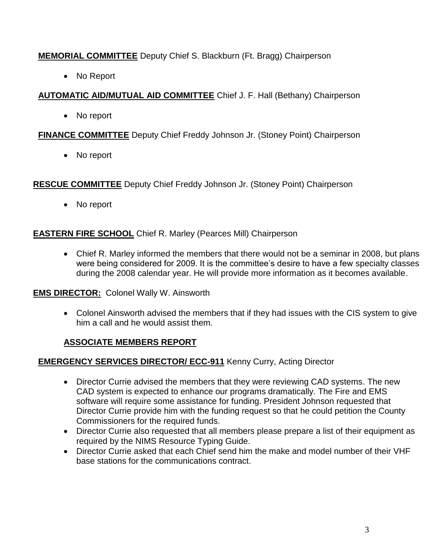# **MEMORIAL COMMITTEE** Deputy Chief S. Blackburn (Ft. Bragg) Chairperson

• No Report

# **AUTOMATIC AID/MUTUAL AID COMMITTEE** Chief J. F. Hall (Bethany) Chairperson

• No report

# **FINANCE COMMITTEE** Deputy Chief Freddy Johnson Jr. (Stoney Point) Chairperson

• No report

**RESCUE COMMITTEE** Deputy Chief Freddy Johnson Jr. (Stoney Point) Chairperson

• No report

# **EASTERN FIRE SCHOOL** Chief R. Marley (Pearces Mill) Chairperson

• Chief R. Marley informed the members that there would not be a seminar in 2008, but plans were being considered for 2009. It is the committee's desire to have a few specialty classes during the 2008 calendar year. He will provide more information as it becomes available.

# **EMS DIRECTOR:** Colonel Wally W. Ainsworth

 Colonel Ainsworth advised the members that if they had issues with the CIS system to give him a call and he would assist them.

# **ASSOCIATE MEMBERS REPORT**

# **EMERGENCY SERVICES DIRECTOR/ ECC-911** Kenny Curry, Acting Director

- Director Currie advised the members that they were reviewing CAD systems. The new CAD system is expected to enhance our programs dramatically. The Fire and EMS software will require some assistance for funding. President Johnson requested that Director Currie provide him with the funding request so that he could petition the County Commissioners for the required funds.
- Director Currie also requested that all members please prepare a list of their equipment as required by the NIMS Resource Typing Guide.
- Director Currie asked that each Chief send him the make and model number of their VHF base stations for the communications contract.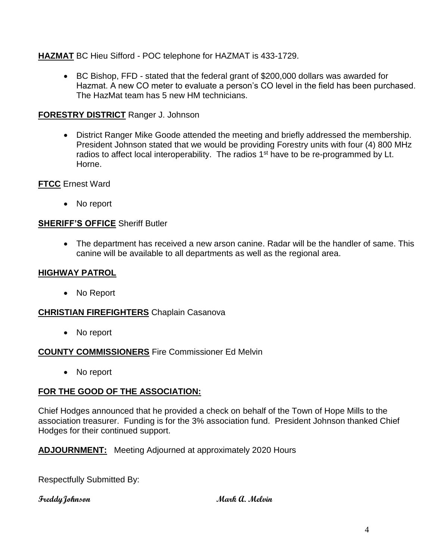**HAZMAT** BC Hieu Sifford - POC telephone for HAZMAT is 433-1729.

 BC Bishop, FFD - stated that the federal grant of \$200,000 dollars was awarded for Hazmat. A new CO meter to evaluate a person's CO level in the field has been purchased. The HazMat team has 5 new HM technicians.

## **FORESTRY DISTRICT** Ranger J. Johnson

 District Ranger Mike Goode attended the meeting and briefly addressed the membership. President Johnson stated that we would be providing Forestry units with four (4) 800 MHz radios to affect local interoperability. The radios  $1<sup>st</sup>$  have to be re-programmed by Lt. Horne.

**FTCC** Ernest Ward

No report

## **SHERIFF'S OFFICE** Sheriff Butler

 The department has received a new arson canine. Radar will be the handler of same. This canine will be available to all departments as well as the regional area.

## **HIGHWAY PATROL**

• No Report

## **CHRISTIAN FIREFIGHTERS** Chaplain Casanova

• No report

## **COUNTY COMMISSIONERS** Fire Commissioner Ed Melvin

• No report

## **FOR THE GOOD OF THE ASSOCIATION:**

Chief Hodges announced that he provided a check on behalf of the Town of Hope Mills to the association treasurer. Funding is for the 3% association fund. President Johnson thanked Chief Hodges for their continued support.

## **ADJOURNMENT:** Meeting Adjourned at approximately 2020 Hours

Respectfully Submitted By:

### **FreddyJohnson Mark A. Melvin**